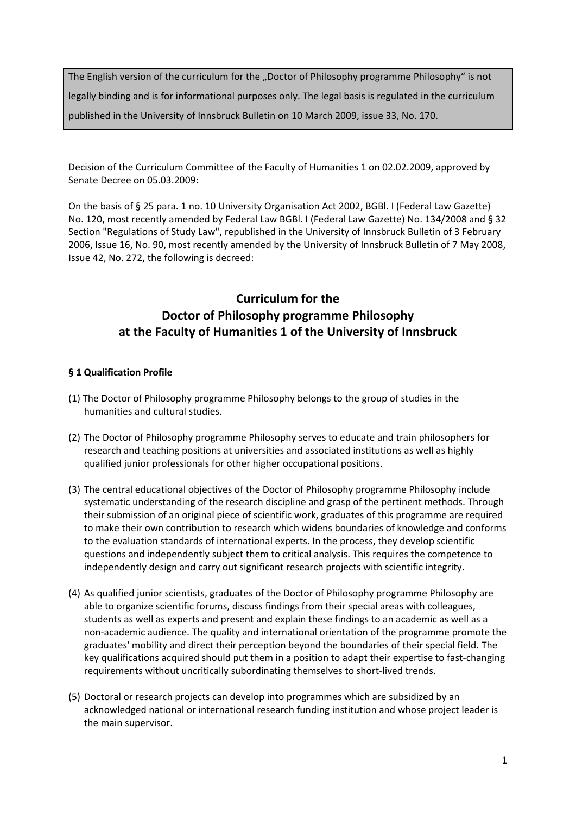The English version of the curriculum for the "Doctor of Philosophy programme Philosophy" is not legally binding and is for informational purposes only. The legal basis is regulated in the curriculum published in the University of Innsbruck Bulletin on 10 March 2009, issue 33, No. 170.

Decision of the Curriculum Committee of the Faculty of Humanities 1 on 02.02.2009, approved by Senate Decree on 05.03.2009:

On the basis of § 25 para. 1 no. 10 University Organisation Act 2002, BGBl. I (Federal Law Gazette) No. 120, most recently amended by Federal Law BGBl. I (Federal Law Gazette) No. 134/2008 and § 32 Section "Regulations of Study Law", republished in the University of Innsbruck Bulletin of 3 February 2006, Issue 16, No. 90, most recently amended by the University of Innsbruck Bulletin of 7 May 2008, Issue 42, No. 272, the following is decreed:

# **Curriculum for the Doctor of Philosophy programme Philosophy at the Faculty of Humanities 1 of the University of Innsbruck**

# **§ 1 Qualification Profile**

- (1) The Doctor of Philosophy programme Philosophy belongs to the group of studies in the humanities and cultural studies.
- (2) The Doctor of Philosophy programme Philosophy serves to educate and train philosophers for research and teaching positions at universities and associated institutions as well as highly qualified junior professionals for other higher occupational positions.
- (3) The central educational objectives of the Doctor of Philosophy programme Philosophy include systematic understanding of the research discipline and grasp of the pertinent methods. Through their submission of an original piece of scientific work, graduates of this programme are required to make their own contribution to research which widens boundaries of knowledge and conforms to the evaluation standards of international experts. In the process, they develop scientific questions and independently subject them to critical analysis. This requires the competence to independently design and carry out significant research projects with scientific integrity.
- (4) As qualified junior scientists, graduates of the Doctor of Philosophy programme Philosophy are able to organize scientific forums, discuss findings from their special areas with colleagues, students as well as experts and present and explain these findings to an academic as well as a non‐academic audience. The quality and international orientation of the programme promote the graduates' mobility and direct their perception beyond the boundaries of their special field. The key qualifications acquired should put them in a position to adapt their expertise to fast‐changing requirements without uncritically subordinating themselves to short‐lived trends.
- (5) Doctoral or research projects can develop into programmes which are subsidized by an acknowledged national or international research funding institution and whose project leader is the main supervisor.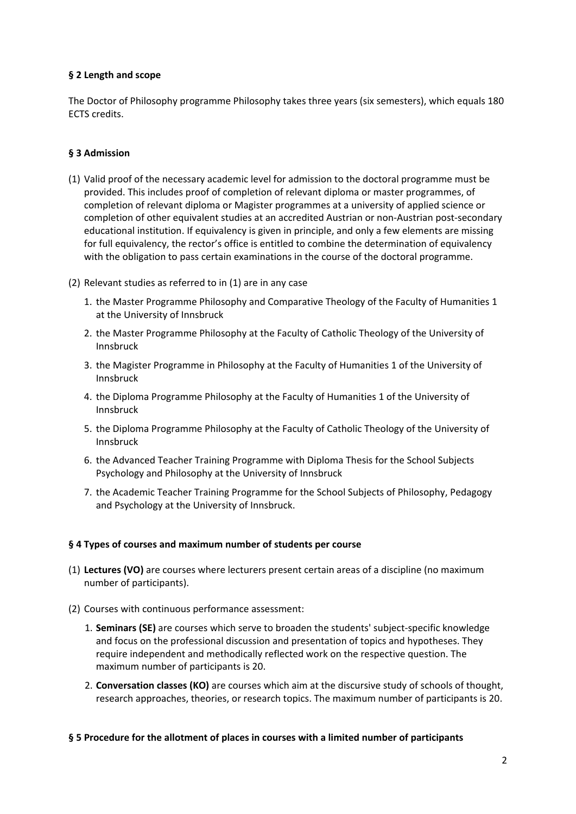# **§ 2 Length and scope**

The Doctor of Philosophy programme Philosophy takes three years (six semesters), which equals 180 ECTS credits.

# **§ 3 Admission**

- (1) Valid proof of the necessary academic level for admission to the doctoral programme must be provided. This includes proof of completion of relevant diploma or master programmes, of completion of relevant diploma or Magister programmes at a university of applied science or completion of other equivalent studies at an accredited Austrian or non‐Austrian post‐secondary educational institution. If equivalency is given in principle, and only a few elements are missing for full equivalency, the rector's office is entitled to combine the determination of equivalency with the obligation to pass certain examinations in the course of the doctoral programme.
- (2) Relevant studies as referred to in (1) are in any case
	- 1. the Master Programme Philosophy and Comparative Theology of the Faculty of Humanities 1 at the University of Innsbruck
	- 2. the Master Programme Philosophy at the Faculty of Catholic Theology of the University of Innsbruck
	- 3. the Magister Programme in Philosophy at the Faculty of Humanities 1 of the University of Innsbruck
	- 4. the Diploma Programme Philosophy at the Faculty of Humanities 1 of the University of Innsbruck
	- 5. the Diploma Programme Philosophy at the Faculty of Catholic Theology of the University of Innsbruck
	- 6. the Advanced Teacher Training Programme with Diploma Thesis for the School Subjects Psychology and Philosophy at the University of Innsbruck
	- 7. the Academic Teacher Training Programme for the School Subjects of Philosophy, Pedagogy and Psychology at the University of Innsbruck.

# **§ 4 Types of courses and maximum number of students per course**

- (1) **Lectures (VO)** are courses where lecturers present certain areas of a discipline (no maximum number of participants).
- (2) Courses with continuous performance assessment:
	- 1. **Seminars (SE)** are courses which serve to broaden the students' subject‐specific knowledge and focus on the professional discussion and presentation of topics and hypotheses. They require independent and methodically reflected work on the respective question. The maximum number of participants is 20.
	- 2. **Conversation classes (KO)** are courses which aim at the discursive study of schools of thought, research approaches, theories, or research topics. The maximum number of participants is 20.

#### **§ 5 Procedure for the allotment of places in courses with a limited number of participants**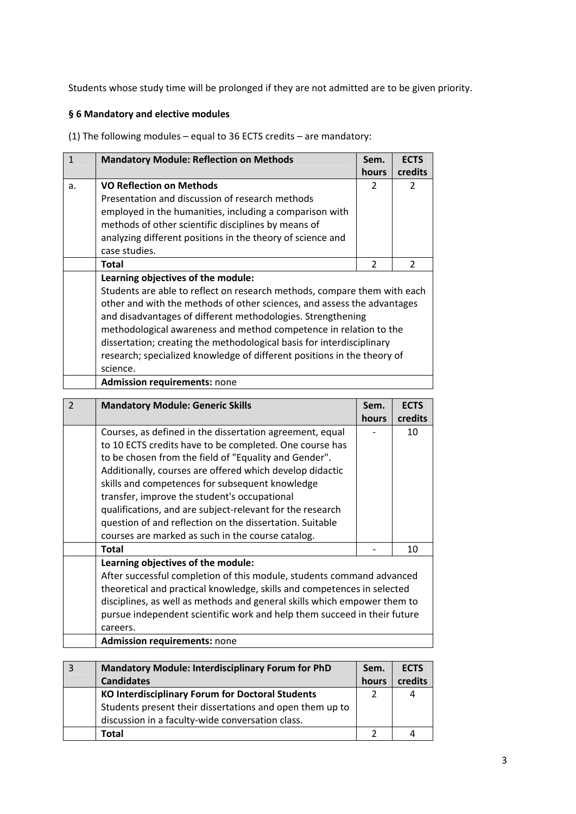Students whose study time will be prolonged if they are not admitted are to be given priority.

## **§ 6 Mandatory and elective modules**

(1) The following modules – equal to 36 ECTS credits – are mandatory:

| $\mathbf{1}$   | <b>Mandatory Module: Reflection on Methods</b>                           | Sem.  | <b>ECTS</b>    |
|----------------|--------------------------------------------------------------------------|-------|----------------|
|                |                                                                          | hours | credits        |
| a.             | <b>VO Reflection on Methods</b>                                          | 2     | 2              |
|                | Presentation and discussion of research methods                          |       |                |
|                | employed in the humanities, including a comparison with                  |       |                |
|                | methods of other scientific disciplines by means of                      |       |                |
|                | analyzing different positions in the theory of science and               |       |                |
|                | case studies.                                                            |       |                |
|                | <b>Total</b>                                                             | 2     | $\overline{2}$ |
|                | Learning objectives of the module:                                       |       |                |
|                | Students are able to reflect on research methods, compare them with each |       |                |
|                | other and with the methods of other sciences, and assess the advantages  |       |                |
|                | and disadvantages of different methodologies. Strengthening              |       |                |
|                | methodological awareness and method competence in relation to the        |       |                |
|                | dissertation; creating the methodological basis for interdisciplinary    |       |                |
|                | research; specialized knowledge of different positions in the theory of  |       |                |
|                | science.                                                                 |       |                |
|                | Admission requirements: none                                             |       |                |
| $\overline{2}$ | <b>Mandatory Module: Generic Skills</b>                                  | Sem.  | <b>ECTS</b>    |
|                |                                                                          | hours | credits        |
|                | Courses, as defined in the dissertation agreement, equal                 |       | 10             |
|                | to 10 ECTS credits have to be completed. One course has                  |       |                |
|                | to be chosen from the field of "Equality and Gender".                    |       |                |
|                | Additionally, courses are offered which develop didactic                 |       |                |
|                | skills and competences for subsequent knowledge                          |       |                |
|                | transfer, improve the student's occupational                             |       |                |
|                | qualifications, and are subject-relevant for the research                |       |                |
|                | question of and reflection on the dissertation. Suitable                 |       |                |
|                | courses are marked as such in the course catalog.                        |       |                |
|                | <b>Total</b>                                                             |       | 10             |
|                |                                                                          |       |                |
|                | Learning objectives of the module:                                       |       |                |

theoretical and practical knowledge, skills and competences in selected disciplines, as well as methods and general skills which empower them to pursue independent scientific work and help them succeed in their future careers. **Admission requirements:** none

| -3 | <b>Mandatory Module: Interdisciplinary Forum for PhD</b><br><b>Candidates</b> | Sem.<br>hours | <b>ECTS</b><br>credits |
|----|-------------------------------------------------------------------------------|---------------|------------------------|
|    | <b>KO Interdisciplinary Forum for Doctoral Students</b>                       |               | 4                      |
|    | Students present their dissertations and open them up to                      |               |                        |
|    | discussion in a faculty-wide conversation class.                              |               |                        |
|    | Total                                                                         |               |                        |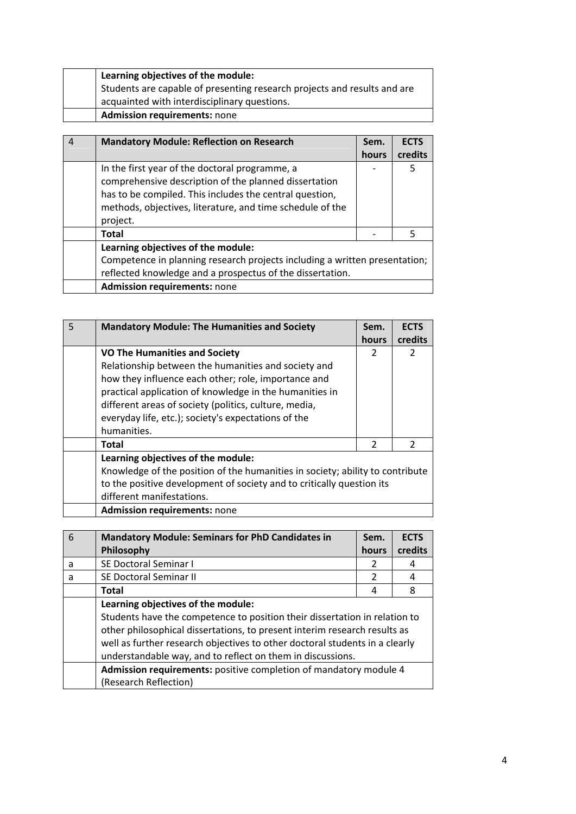| Learning objectives of the module:                                       |
|--------------------------------------------------------------------------|
| Students are capable of presenting research projects and results and are |
| acquainted with interdisciplinary questions.                             |
| <b>Admission requirements: none</b>                                      |

| <b>Mandatory Module: Reflection on Research</b>                                                                                                                                                                                             | Sem.  | <b>ECTS</b> |
|---------------------------------------------------------------------------------------------------------------------------------------------------------------------------------------------------------------------------------------------|-------|-------------|
|                                                                                                                                                                                                                                             | hours | credits     |
| In the first year of the doctoral programme, a<br>comprehensive description of the planned dissertation<br>has to be compiled. This includes the central question,<br>methods, objectives, literature, and time schedule of the<br>project. |       | 5           |
| Total                                                                                                                                                                                                                                       |       | 5           |
| Learning objectives of the module:<br>Competence in planning research projects including a written presentation;<br>reflected knowledge and a prospectus of the dissertation.                                                               |       |             |
| <b>Admission requirements: none</b>                                                                                                                                                                                                         |       |             |

| 5 | <b>Mandatory Module: The Humanities and Society</b>                                                                                                                                                                                                                                                                                          | Sem.<br>hours | <b>ECTS</b><br>credits |
|---|----------------------------------------------------------------------------------------------------------------------------------------------------------------------------------------------------------------------------------------------------------------------------------------------------------------------------------------------|---------------|------------------------|
|   | <b>VO The Humanities and Society</b><br>Relationship between the humanities and society and<br>how they influence each other; role, importance and<br>practical application of knowledge in the humanities in<br>different areas of society (politics, culture, media,<br>everyday life, etc.); society's expectations of the<br>humanities. | 2             | 2                      |
|   | Total                                                                                                                                                                                                                                                                                                                                        | $\mathcal{P}$ | $\mathcal{P}$          |
|   | Learning objectives of the module:<br>Knowledge of the position of the humanities in society; ability to contribute<br>to the positive development of society and to critically question its<br>different manifestations.                                                                                                                    |               |                        |
|   | <b>Admission requirements: none</b>                                                                                                                                                                                                                                                                                                          |               |                        |

| 6 | <b>Mandatory Module: Seminars for PhD Candidates in</b><br>Philosophy       | Sem.<br>hours | <b>ECTS</b><br>credits |
|---|-----------------------------------------------------------------------------|---------------|------------------------|
| a | SE Doctoral Seminar I                                                       | 2             | 4                      |
| a | SE Doctoral Seminar II                                                      | 2             | 4                      |
|   | Total                                                                       | 4             | 8                      |
|   | Learning objectives of the module:                                          |               |                        |
|   | Students have the competence to position their dissertation in relation to  |               |                        |
|   | other philosophical dissertations, to present interim research results as   |               |                        |
|   | well as further research objectives to other doctoral students in a clearly |               |                        |
|   | understandable way, and to reflect on them in discussions.                  |               |                        |
|   | Admission requirements: positive completion of mandatory module 4           |               |                        |
|   | (Research Reflection)                                                       |               |                        |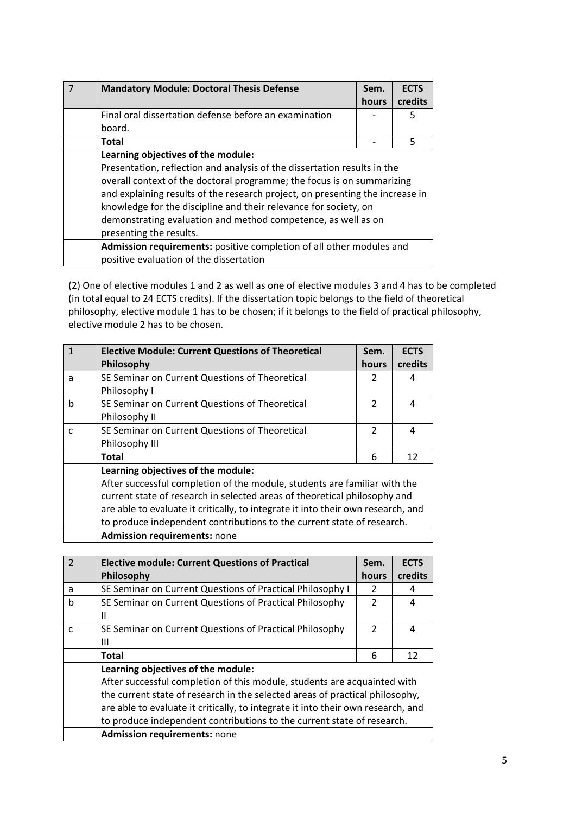| <b>Mandatory Module: Doctoral Thesis Defense</b>                                                                                                                                                                                                                                                                                                                                                                                          | Sem.<br>hours | <b>ECTS</b><br>credits |
|-------------------------------------------------------------------------------------------------------------------------------------------------------------------------------------------------------------------------------------------------------------------------------------------------------------------------------------------------------------------------------------------------------------------------------------------|---------------|------------------------|
| Final oral dissertation defense before an examination<br>board.                                                                                                                                                                                                                                                                                                                                                                           |               | 5                      |
| <b>Total</b>                                                                                                                                                                                                                                                                                                                                                                                                                              |               | 5                      |
| Learning objectives of the module:<br>Presentation, reflection and analysis of the dissertation results in the<br>overall context of the doctoral programme; the focus is on summarizing<br>and explaining results of the research project, on presenting the increase in<br>knowledge for the discipline and their relevance for society, on<br>demonstrating evaluation and method competence, as well as on<br>presenting the results. |               |                        |
| Admission requirements: positive completion of all other modules and<br>positive evaluation of the dissertation                                                                                                                                                                                                                                                                                                                           |               |                        |

(2) One of elective modules 1 and 2 as well as one of elective modules 3 and 4 has to be completed (in total equal to 24 ECTS credits). If the dissertation topic belongs to the field of theoretical philosophy, elective module 1 has to be chosen; if it belongs to the field of practical philosophy, elective module 2 has to be chosen.

|              | <b>Elective Module: Current Questions of Theoretical</b>                         | Sem.          | <b>ECTS</b> |
|--------------|----------------------------------------------------------------------------------|---------------|-------------|
|              | Philosophy                                                                       | hours         | credits     |
| a            | SE Seminar on Current Questions of Theoretical                                   | 2             | 4           |
|              | Philosophy I                                                                     |               |             |
| h            | SE Seminar on Current Questions of Theoretical                                   | 2             | 4           |
|              | Philosophy II                                                                    |               |             |
| $\mathsf{C}$ | SE Seminar on Current Questions of Theoretical                                   | $\mathcal{P}$ | 4           |
|              | Philosophy III                                                                   |               |             |
|              | <b>Total</b>                                                                     | 6             | 12          |
|              | Learning objectives of the module:                                               |               |             |
|              | After successful completion of the module, students are familiar with the        |               |             |
|              | current state of research in selected areas of theoretical philosophy and        |               |             |
|              | are able to evaluate it critically, to integrate it into their own research, and |               |             |
|              | to produce independent contributions to the current state of research.           |               |             |
|              | <b>Admission requirements: none</b>                                              |               |             |

|              | <b>Elective module: Current Questions of Practical</b>                           | Sem.          | <b>ECTS</b> |
|--------------|----------------------------------------------------------------------------------|---------------|-------------|
|              | Philosophy                                                                       | hours         | credits     |
| a            | SE Seminar on Current Questions of Practical Philosophy I                        |               | 4           |
| b            | SE Seminar on Current Questions of Practical Philosophy                          | $\mathcal{P}$ | 4           |
|              | Ш                                                                                |               |             |
| $\mathsf{C}$ | SE Seminar on Current Questions of Practical Philosophy                          | $\mathcal{P}$ | 4           |
|              | Ш                                                                                |               |             |
|              | <b>Total</b>                                                                     | 6             | 12          |
|              | Learning objectives of the module:                                               |               |             |
|              | After successful completion of this module, students are acquainted with         |               |             |
|              | the current state of research in the selected areas of practical philosophy,     |               |             |
|              | are able to evaluate it critically, to integrate it into their own research, and |               |             |
|              | to produce independent contributions to the current state of research.           |               |             |
|              | <b>Admission requirements: none</b>                                              |               |             |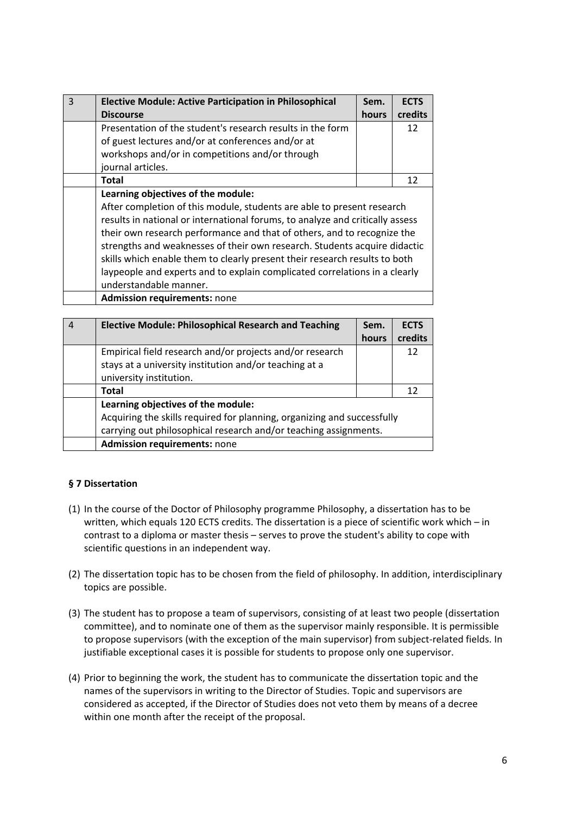| $\mathsf{R}$ | <b>Elective Module: Active Participation in Philosophical</b>                 | Sem.  | <b>ECTS</b> |
|--------------|-------------------------------------------------------------------------------|-------|-------------|
|              | <b>Discourse</b>                                                              | hours | credits     |
|              | Presentation of the student's research results in the form                    |       | 12          |
|              | of guest lectures and/or at conferences and/or at                             |       |             |
|              | workshops and/or in competitions and/or through                               |       |             |
|              | journal articles.                                                             |       |             |
|              | Total                                                                         |       | 12          |
|              | Learning objectives of the module:                                            |       |             |
|              | After completion of this module, students are able to present research        |       |             |
|              | results in national or international forums, to analyze and critically assess |       |             |
|              | their own research performance and that of others, and to recognize the       |       |             |
|              | strengths and weaknesses of their own research. Students acquire didactic     |       |             |
|              | skills which enable them to clearly present their research results to both    |       |             |
|              | laypeople and experts and to explain complicated correlations in a clearly    |       |             |
|              | understandable manner.                                                        |       |             |
|              | <b>Admission requirements: none</b>                                           |       |             |

| 4 | <b>Elective Module: Philosophical Research and Teaching</b>             | Sem.  | <b>ECTS</b> |
|---|-------------------------------------------------------------------------|-------|-------------|
|   |                                                                         | hours | credits     |
|   | Empirical field research and/or projects and/or research                |       | 12          |
|   | stays at a university institution and/or teaching at a                  |       |             |
|   | university institution.                                                 |       |             |
|   | Total                                                                   |       | 12          |
|   | Learning objectives of the module:                                      |       |             |
|   | Acquiring the skills required for planning, organizing and successfully |       |             |
|   | carrying out philosophical research and/or teaching assignments.        |       |             |
|   | <b>Admission requirements: none</b>                                     |       |             |

# **§ 7 Dissertation**

- (1) In the course of the Doctor of Philosophy programme Philosophy, a dissertation has to be written, which equals 120 ECTS credits. The dissertation is a piece of scientific work which – in contrast to a diploma or master thesis – serves to prove the student's ability to cope with scientific questions in an independent way.
- (2) The dissertation topic has to be chosen from the field of philosophy. In addition, interdisciplinary topics are possible.
- (3) The student has to propose a team of supervisors, consisting of at least two people (dissertation committee), and to nominate one of them as the supervisor mainly responsible. It is permissible to propose supervisors (with the exception of the main supervisor) from subject-related fields. In justifiable exceptional cases it is possible for students to propose only one supervisor.
- (4) Prior to beginning the work, the student has to communicate the dissertation topic and the names of the supervisors in writing to the Director of Studies. Topic and supervisors are considered as accepted, if the Director of Studies does not veto them by means of a decree within one month after the receipt of the proposal.